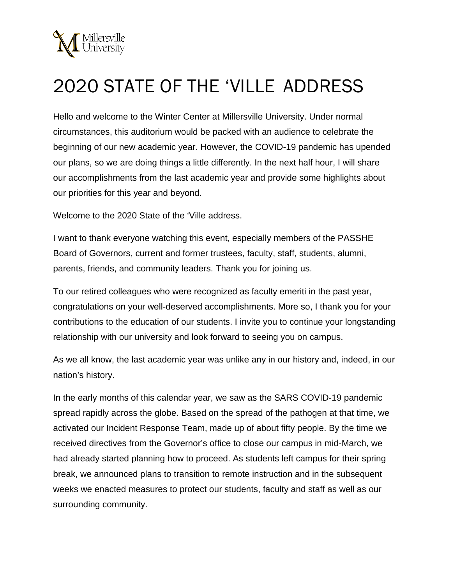

## 2020 STATE OF THE 'VILLE ADDRESS

Hello and welcome to the Winter Center at Millersville University. Under normal circumstances, this auditorium would be packed with an audience to celebrate the beginning of our new academic year. However, the COVID-19 pandemic has upended our plans, so we are doing things a little differently. In the next half hour, I will share our accomplishments from the last academic year and provide some highlights about our priorities for this year and beyond.

Welcome to the 2020 State of the 'Ville address.

I want to thank everyone watching this event, especially members of the PASSHE Board of Governors, current and former trustees, faculty, staff, students, alumni, parents, friends, and community leaders. Thank you for joining us.

To our retired colleagues who were recognized as faculty emeriti in the past year, congratulations on your well-deserved accomplishments. More so, I thank you for your contributions to the education of our students. I invite you to continue your longstanding relationship with our university and look forward to seeing you on campus.

As we all know, the last academic year was unlike any in our history and, indeed, in our nation's history.

In the early months of this calendar year, we saw as the SARS COVID-19 pandemic spread rapidly across the globe. Based on the spread of the pathogen at that time, we activated our Incident Response Team, made up of about fifty people. By the time we received directives from the Governor's office to close our campus in mid-March, we had already started planning how to proceed. As students left campus for their spring break, we announced plans to transition to remote instruction and in the subsequent weeks we enacted measures to protect our students, faculty and staff as well as our surrounding community.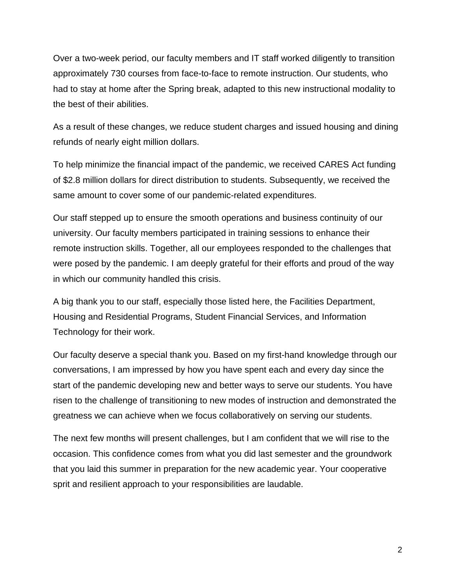Over a two-week period, our faculty members and IT staff worked diligently to transition approximately 730 courses from face-to-face to remote instruction. Our students, who had to stay at home after the Spring break, adapted to this new instructional modality to the best of their abilities.

As a result of these changes, we reduce student charges and issued housing and dining refunds of nearly eight million dollars.

To help minimize the financial impact of the pandemic, we received CARES Act funding of \$2.8 million dollars for direct distribution to students. Subsequently, we received the same amount to cover some of our pandemic-related expenditures.

Our staff stepped up to ensure the smooth operations and business continuity of our university. Our faculty members participated in training sessions to enhance their remote instruction skills. Together, all our employees responded to the challenges that were posed by the pandemic. I am deeply grateful for their efforts and proud of the way in which our community handled this crisis.

A big thank you to our staff, especially those listed here, the Facilities Department, Housing and Residential Programs, Student Financial Services, and Information Technology for their work.

Our faculty deserve a special thank you. Based on my first-hand knowledge through our conversations, I am impressed by how you have spent each and every day since the start of the pandemic developing new and better ways to serve our students. You have risen to the challenge of transitioning to new modes of instruction and demonstrated the greatness we can achieve when we focus collaboratively on serving our students.

The next few months will present challenges, but I am confident that we will rise to the occasion. This confidence comes from what you did last semester and the groundwork that you laid this summer in preparation for the new academic year. Your cooperative sprit and resilient approach to your responsibilities are laudable.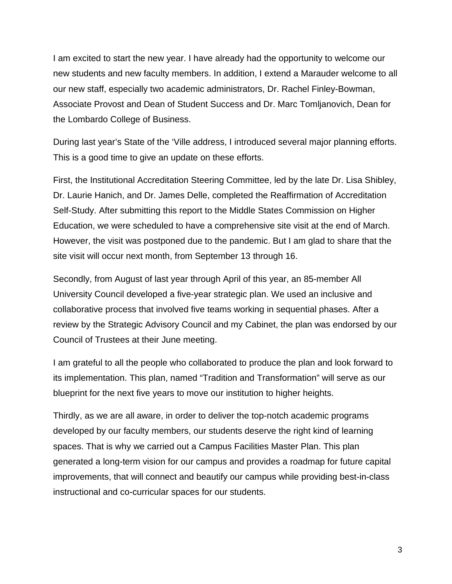I am excited to start the new year. I have already had the opportunity to welcome our new students and new faculty members. In addition, I extend a Marauder welcome to all our new staff, especially two academic administrators, Dr. Rachel Finley-Bowman, Associate Provost and Dean of Student Success and Dr. Marc Tomljanovich, Dean for the Lombardo College of Business.

During last year's State of the 'Ville address, I introduced several major planning efforts. This is a good time to give an update on these efforts.

First, the Institutional Accreditation Steering Committee, led by the late Dr. Lisa Shibley, Dr. Laurie Hanich, and Dr. James Delle, completed the Reaffirmation of Accreditation Self-Study. After submitting this report to the Middle States Commission on Higher Education, we were scheduled to have a comprehensive site visit at the end of March. However, the visit was postponed due to the pandemic. But I am glad to share that the site visit will occur next month, from September 13 through 16.

Secondly, from August of last year through April of this year, an 85-member All University Council developed a five-year strategic plan. We used an inclusive and collaborative process that involved five teams working in sequential phases. After a review by the Strategic Advisory Council and my Cabinet, the plan was endorsed by our Council of Trustees at their June meeting.

I am grateful to all the people who collaborated to produce the plan and look forward to its implementation. This plan, named "Tradition and Transformation" will serve as our blueprint for the next five years to move our institution to higher heights.

Thirdly, as we are all aware, in order to deliver the top-notch academic programs developed by our faculty members, our students deserve the right kind of learning spaces. That is why we carried out a Campus Facilities Master Plan. This plan generated a long-term vision for our campus and provides a roadmap for future capital improvements, that will connect and beautify our campus while providing best-in-class instructional and co-curricular spaces for our students.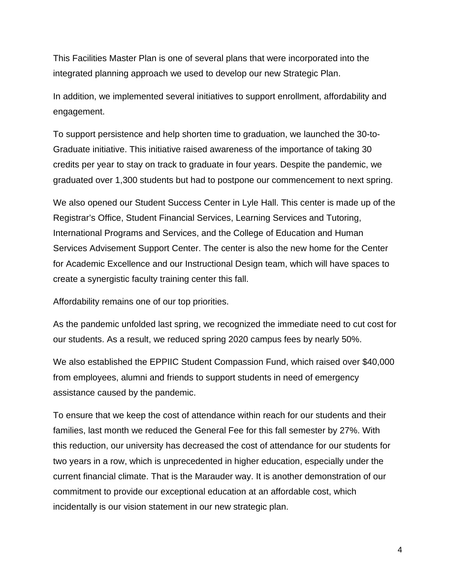This Facilities Master Plan is one of several plans that were incorporated into the integrated planning approach we used to develop our new Strategic Plan.

In addition, we implemented several initiatives to support enrollment, affordability and engagement.

To support persistence and help shorten time to graduation, we launched the 30-to-Graduate initiative. This initiative raised awareness of the importance of taking 30 credits per year to stay on track to graduate in four years. Despite the pandemic, we graduated over 1,300 students but had to postpone our commencement to next spring.

We also opened our Student Success Center in Lyle Hall. This center is made up of the Registrar's Office, Student Financial Services, Learning Services and Tutoring, International Programs and Services, and the College of Education and Human Services Advisement Support Center. The center is also the new home for the Center for Academic Excellence and our Instructional Design team, which will have spaces to create a synergistic faculty training center this fall.

Affordability remains one of our top priorities.

As the pandemic unfolded last spring, we recognized the immediate need to cut cost for our students. As a result, we reduced spring 2020 campus fees by nearly 50%.

We also established the EPPIIC Student Compassion Fund, which raised over \$40,000 from employees, alumni and friends to support students in need of emergency assistance caused by the pandemic.

To ensure that we keep the cost of attendance within reach for our students and their families, last month we reduced the General Fee for this fall semester by 27%. With this reduction, our university has decreased the cost of attendance for our students for two years in a row, which is unprecedented in higher education, especially under the current financial climate. That is the Marauder way. It is another demonstration of our commitment to provide our exceptional education at an affordable cost, which incidentally is our vision statement in our new strategic plan.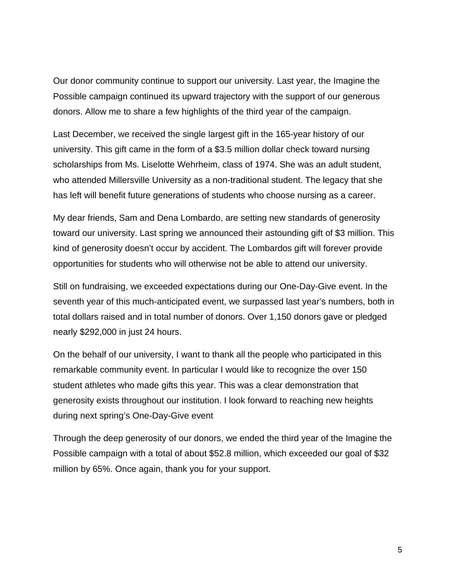Our donor community continue to support our university. Last year, the Imagine the Possible campaign continued its upward trajectory with the support of our generous donors. Allow me to share a few highlights of the third year of the campaign.

Last December, we received the single largest gift in the 165-year history of our university. This gift came in the form of a \$3.5 million dollar check toward nursing scholarships from Ms. Liselotte Wehrheim, class of 1974. She was an adult student, who attended Millersville University as a non-traditional student. The legacy that she has left will benefit future generations of students who choose nursing as a career.

My dear friends, Sam and Dena Lombardo, are setting new standards of generosity toward our university. Last spring we announced their astounding gift of \$3 million. This kind of generosity doesn't occur by accident. The Lombardos gift will forever provide opportunities for students who will otherwise not be able to attend our university.

Still on fundraising, we exceeded expectations during our One-Day-Give event. In the seventh year of this much-anticipated event, we surpassed last year's numbers, both in total dollars raised and in total number of donors. Over 1,150 donors gave or pledged nearly \$292,000 in just 24 hours.

On the behalf of our university, I want to thank all the people who participated in this remarkable community event. In particular I would like to recognize the over 150 student athletes who made gifts this year. This was a clear demonstration that generosity exists throughout our institution. I look forward to reaching new heights during next spring's One-Day-Give event

Through the deep generosity of our donors, we ended the third year of the Imagine the Possible campaign with a total of about \$52.8 million, which exceeded our goal of \$32 million by 65%. Once again, thank you for your support.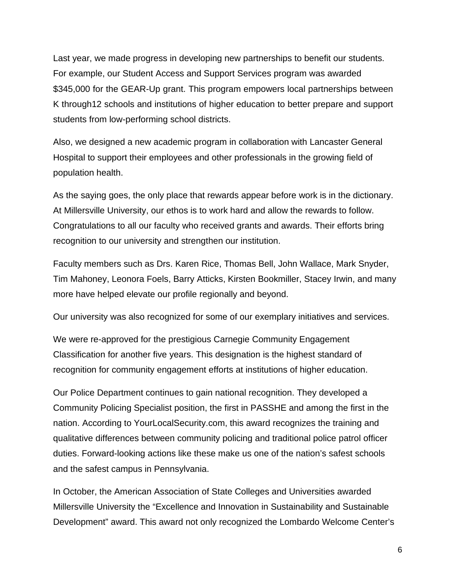Last year, we made progress in developing new partnerships to benefit our students. For example, our Student Access and Support Services program was awarded \$345,000 for the GEAR-Up grant. This program empowers local partnerships between K through12 schools and institutions of higher education to better prepare and support students from low-performing school districts.

Also, we designed a new academic program in collaboration with Lancaster General Hospital to support their employees and other professionals in the growing field of population health.

As the saying goes, the only place that rewards appear before work is in the dictionary. At Millersville University, our ethos is to work hard and allow the rewards to follow. Congratulations to all our faculty who received grants and awards. Their efforts bring recognition to our university and strengthen our institution.

Faculty members such as Drs. Karen Rice, Thomas Bell, John Wallace, Mark Snyder, Tim Mahoney, Leonora Foels, Barry Atticks, Kirsten Bookmiller, Stacey Irwin, and many more have helped elevate our profile regionally and beyond.

Our university was also recognized for some of our exemplary initiatives and services.

We were re-approved for the prestigious Carnegie Community Engagement Classification for another five years. This designation is the highest standard of recognition for community engagement efforts at institutions of higher education.

Our Police Department continues to gain national recognition. They developed a Community Policing Specialist position, the first in PASSHE and among the first in the nation. According to YourLocalSecurity.com, this award recognizes the training and qualitative differences between community policing and traditional police patrol officer duties. Forward-looking actions like these make us one of the nation's safest schools and the safest campus in Pennsylvania.

In October, the American Association of State Colleges and Universities awarded Millersville University the "Excellence and Innovation in Sustainability and Sustainable Development" award. This award not only recognized the Lombardo Welcome Center's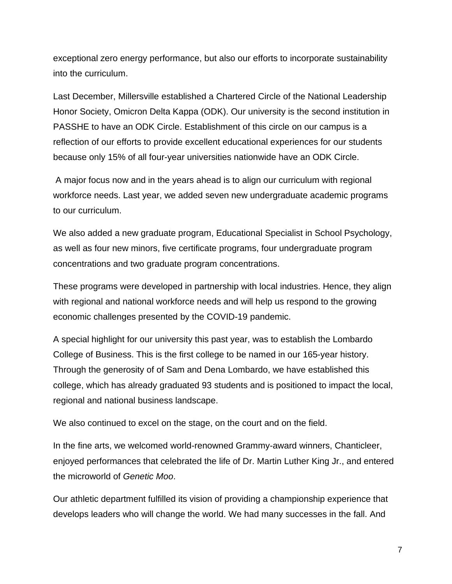exceptional zero energy performance, but also our efforts to incorporate sustainability into the curriculum.

Last December, Millersville established a Chartered Circle of the National Leadership Honor Society, Omicron Delta Kappa (ODK). Our university is the second institution in PASSHE to have an ODK Circle. Establishment of this circle on our campus is a reflection of our efforts to provide excellent educational experiences for our students because only 15% of all four-year universities nationwide have an ODK Circle.

A major focus now and in the years ahead is to align our curriculum with regional workforce needs. Last year, we added seven new undergraduate academic programs to our curriculum.

We also added a new graduate program, Educational Specialist in School Psychology, as well as four new minors, five certificate programs, four undergraduate program concentrations and two graduate program concentrations.

These programs were developed in partnership with local industries. Hence, they align with regional and national workforce needs and will help us respond to the growing economic challenges presented by the COVID-19 pandemic.

A special highlight for our university this past year, was to establish the Lombardo College of Business. This is the first college to be named in our 165-year history. Through the generosity of of Sam and Dena Lombardo, we have established this college, which has already graduated 93 students and is positioned to impact the local, regional and national business landscape.

We also continued to excel on the stage, on the court and on the field.

In the fine arts, we welcomed world-renowned Grammy-award winners, Chanticleer, enjoyed performances that celebrated the life of Dr. Martin Luther King Jr., and entered the microworld of *Genetic Moo*.

Our athletic department fulfilled its vision of providing a championship experience that develops leaders who will change the world. We had many successes in the fall. And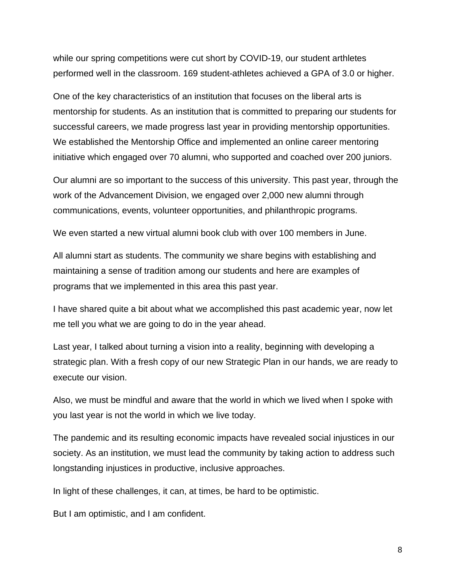while our spring competitions were cut short by COVID-19, our student arthletes performed well in the classroom. 169 student-athletes achieved a GPA of 3.0 or higher.

One of the key characteristics of an institution that focuses on the liberal arts is mentorship for students. As an institution that is committed to preparing our students for successful careers, we made progress last year in providing mentorship opportunities. We established the Mentorship Office and implemented an online career mentoring initiative which engaged over 70 alumni, who supported and coached over 200 juniors.

Our alumni are so important to the success of this university. This past year, through the work of the Advancement Division, we engaged over 2,000 new alumni through communications, events, volunteer opportunities, and philanthropic programs.

We even started a new virtual alumni book club with over 100 members in June.

All alumni start as students. The community we share begins with establishing and maintaining a sense of tradition among our students and here are examples of programs that we implemented in this area this past year.

I have shared quite a bit about what we accomplished this past academic year, now let me tell you what we are going to do in the year ahead.

Last year, I talked about turning a vision into a reality, beginning with developing a strategic plan. With a fresh copy of our new Strategic Plan in our hands, we are ready to execute our vision.

Also, we must be mindful and aware that the world in which we lived when I spoke with you last year is not the world in which we live today.

The pandemic and its resulting economic impacts have revealed social injustices in our society. As an institution, we must lead the community by taking action to address such longstanding injustices in productive, inclusive approaches.

In light of these challenges, it can, at times, be hard to be optimistic.

But I am optimistic, and I am confident.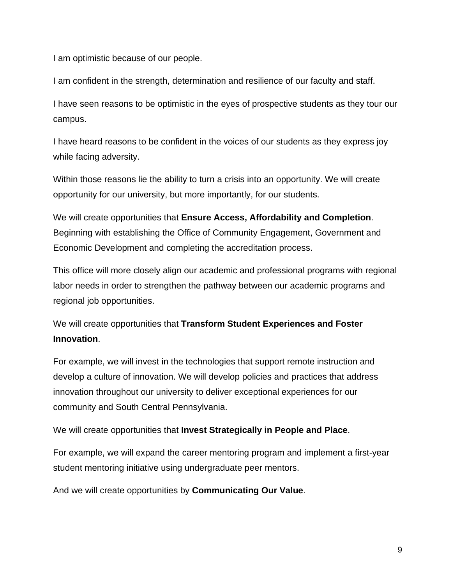I am optimistic because of our people.

I am confident in the strength, determination and resilience of our faculty and staff.

I have seen reasons to be optimistic in the eyes of prospective students as they tour our campus.

I have heard reasons to be confident in the voices of our students as they express joy while facing adversity.

Within those reasons lie the ability to turn a crisis into an opportunity. We will create opportunity for our university, but more importantly, for our students.

We will create opportunities that **Ensure Access, Affordability and Completion**. Beginning with establishing the Office of Community Engagement, Government and Economic Development and completing the accreditation process.

This office will more closely align our academic and professional programs with regional labor needs in order to strengthen the pathway between our academic programs and regional job opportunities.

## We will create opportunities that **Transform Student Experiences and Foster Innovation**.

For example, we will invest in the technologies that support remote instruction and develop a culture of innovation. We will develop policies and practices that address innovation throughout our university to deliver exceptional experiences for our community and South Central Pennsylvania.

We will create opportunities that **Invest Strategically in People and Place**.

For example, we will expand the career mentoring program and implement a first-year student mentoring initiative using undergraduate peer mentors.

And we will create opportunities by **Communicating Our Value**.